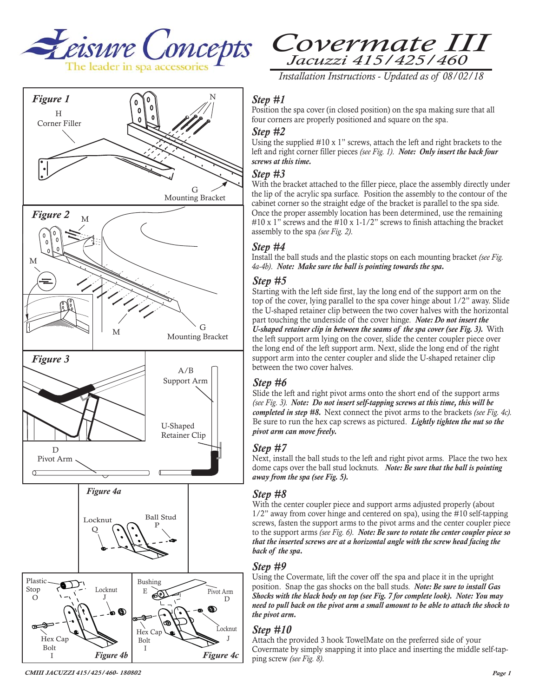





*Installation Instructions - Updated as of 08/02/18* 

#### *Step #1*

Position the spa cover (in closed position) on the spa making sure that all four corners are properly positioned and square on the spa.

#### *Step #2*

Using the supplied  $#10 \times 1$ " screws, attach the left and right brackets to the left and right corner filler pieces *(see Fig. 1)*. *Note: Only insert the back four screws at this time.*

#### *Step #3*

With the bracket attached to the filler piece, place the assembly directly under the lip of the acrylic spa surface. Position the assembly to the contour of the cabinet corner so the straight edge of the bracket is parallel to the spa side. Once the proper assembly location has been determined, use the remaining #10 x 1" screws and the #10 x 1-1/2" screws to finish attaching the bracket assembly to the spa *(see Fig. 2)*.

#### *Step #4*

Install the ball studs and the plastic stops on each mounting bracket *(see Fig.* 

### *Step #5*

Starting with the left side first, lay the long end of the support arm on the top of the cover, lying parallel to the spa cover hinge about 1/2" away. Slide the U-shaped retainer clip between the two cover halves with the horizontal part touching the underside of the cover hinge. *Note: Do not insert the U-shaped retainer clip in between the seams of the spa cover (see Fig. 3).* With the left support arm lying on the cover, slide the center coupler piece over the long end of the left support arm. Next, slide the long end of the right support arm into the center coupler and slide the U-shaped retainer clip between the two cover halves.

# *Step #6*

Slide the left and right pivot arms onto the short end of the support arms *(see Fig. 3). Note: Do not insert self-tapping screws at this time, this will be completed in step #8.* Next connect the pivot arms to the brackets *(see Fig. 4c).*  Be sure to run the hex cap screws as pictured. *Lightly tighten the nut so the pivot arm can move freely.*

# *Step #7*

Next, install the ball studs to the left and right pivot arms. Place the two hex dome caps over the ball stud locknuts. *Note: Be sure that the ball is pointing away from the spa (see Fig. 5).*

#### *Step #8*

With the center coupler piece and support arms adjusted properly (about 1/2" away from cover hinge and centered on spa), using the #10 self-tapping screws, fasten the support arms to the pivot arms and the center coupler piece to the support arms *(see Fig. 6)*. *Note: Be sure to rotate the center coupler piece so that the inserted screws are at a horizontal angle with the screw head facing the back of the spa.* 

# *Step #9*

Using the Covermate, lift the cover off the spa and place it in the upright position. Snap the gas shocks on the ball studs. *Note: Be sure to install Gas Shocks with the black body on top (see Fig. 7 for complete look). Note: You may need to pull back on the pivot arm a small amount to be able to attach the shock to the pivot arm.*

# *Step #10*

Attach the provided 3 hook TowelMate on the preferred side of your Covermate by simply snapping it into place and inserting the middle self-tapping screw *(see Fig. 8)*.

*CMIII JACUZZI 415/425/460- 180802*